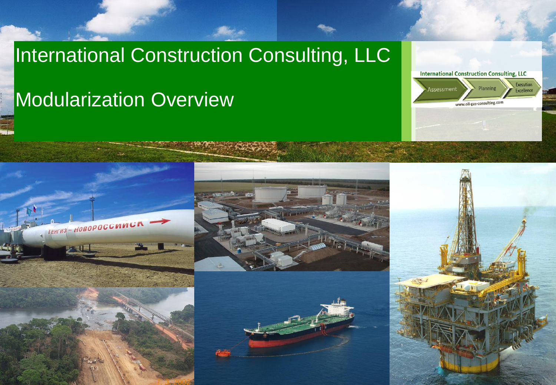#### International Construction Consulting, LLC

#### Modularization Overview









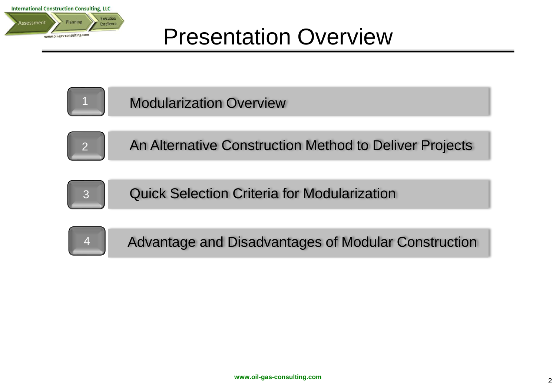



Modularization Overview



An Alternative Construction Method to Deliver Projects



Quick Selection Criteria for Modularization

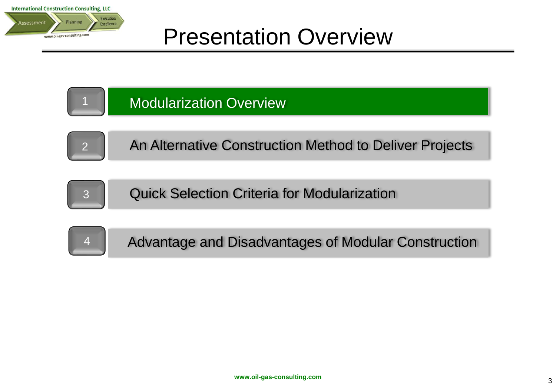





1

An Alternative Construction Method to Deliver Projects



Quick Selection Criteria for Modularization

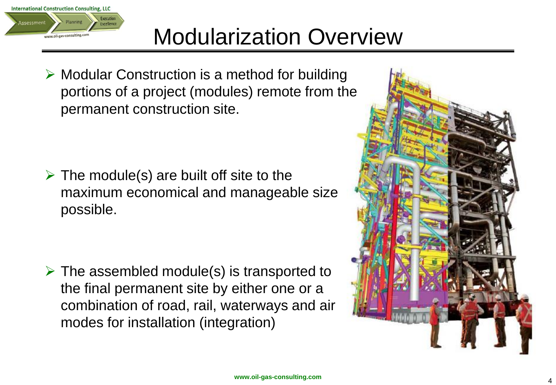

#### Modularization Overview

 $\triangleright$  Modular Construction is a method for building portions of a project (modules) remote from the permanent construction site.

 $\triangleright$  The module(s) are built off site to the maximum economical and manageable size possible.

 $\triangleright$  The assembled module(s) is transported to the final permanent site by either one or a combination of road, rail, waterways and air modes for installation (integration)

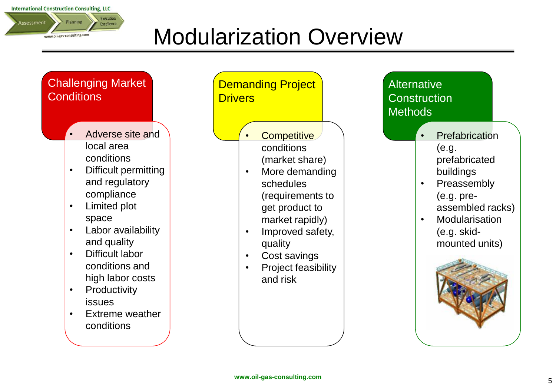**International Construction Consulting, LLC** 



### Modularization Overview

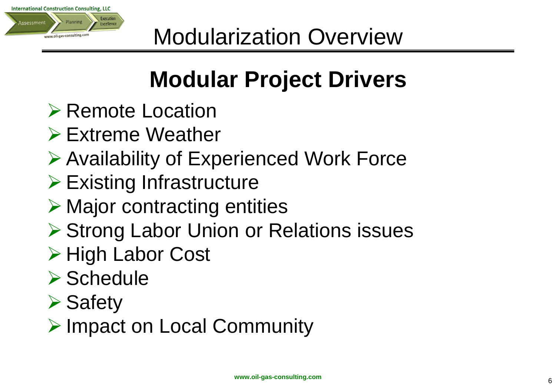

# **Modular Project Drivers**

- ▶ Remote Location
- **Extreme Weather**
- **≻ Availability of Experienced Work Force**
- $\triangleright$  Existing Infrastructure
- $\triangleright$  Major contracting entities
- **▶ Strong Labor Union or Relations issues**
- **≻ High Labor Cost**
- $\triangleright$  Schedule
- $\triangleright$  Safety
- ▶ Impact on Local Community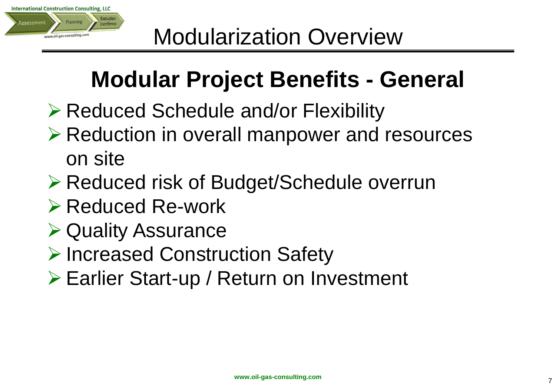

## **Modular Project Benefits - General**

- **Example 2 Reduced Schedule and/or Flexibility**
- **≻ Reduction in overall manpower and resources** on site
- Reduced risk of Budget/Schedule overrun
- $\triangleright$  Reduced Re-work
- **▶ Quality Assurance**
- **▶ Increased Construction Safety**
- Earlier Start-up / Return on Investment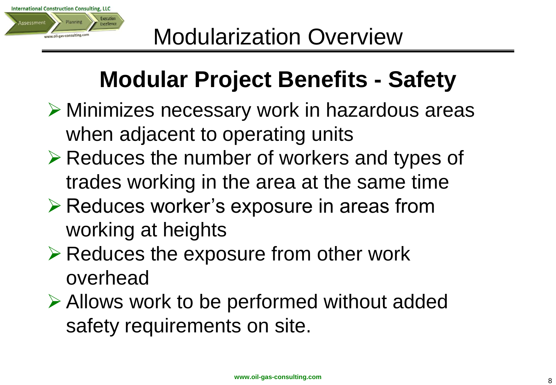

## **Modular Project Benefits - Safety**

- Minimizes necessary work in hazardous areas when adjacent to operating units
- $\triangleright$  Reduces the number of workers and types of trades working in the area at the same time
- **≻ Reduces worker's exposure in areas from** working at heights
- $\triangleright$  Reduces the exposure from other work overhead
- Allows work to be performed without added safety requirements on site.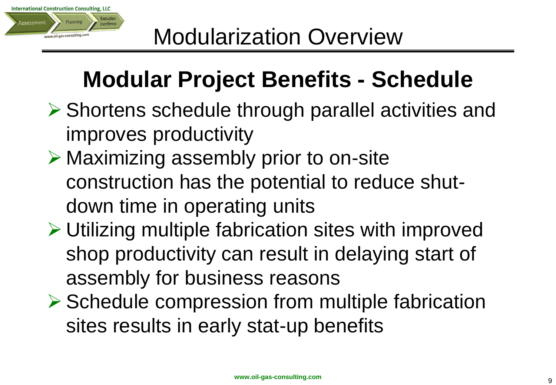

## **Modular Project Benefits - Schedule**

- **▶ Shortens schedule through parallel activities and** improves productivity
- **≻ Maximizing assembly prior to on-site** construction has the potential to reduce shutdown time in operating units
- **≻ Utilizing multiple fabrication sites with improved** shop productivity can result in delaying start of assembly for business reasons
- $\triangleright$  Schedule compression from multiple fabrication sites results in early stat-up benefits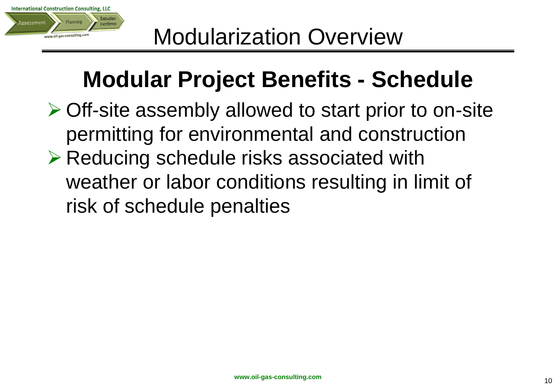

## **Modular Project Benefits - Schedule**

**≻ Off-site assembly allowed to start prior to on-site** permitting for environmental and construction **Example 2 Reducing schedule risks associated with** weather or labor conditions resulting in limit of risk of schedule penalties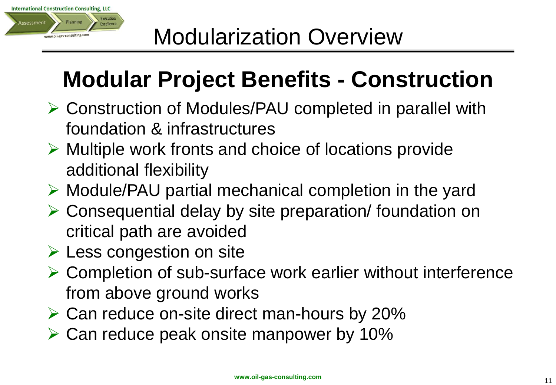

## **Modular Project Benefits - Construction**

- Construction of Modules/PAU completed in parallel with foundation & infrastructures
- $\triangleright$  Multiple work fronts and choice of locations provide additional flexibility
- $\triangleright$  Module/PAU partial mechanical completion in the yard
- Consequential delay by site preparation/ foundation on critical path are avoided
- $\triangleright$  Less congestion on site
- $\triangleright$  Completion of sub-surface work earlier without interference from above ground works
- $\triangleright$  Can reduce on-site direct man-hours by 20%
- $\triangleright$  Can reduce peak onsite manpower by 10%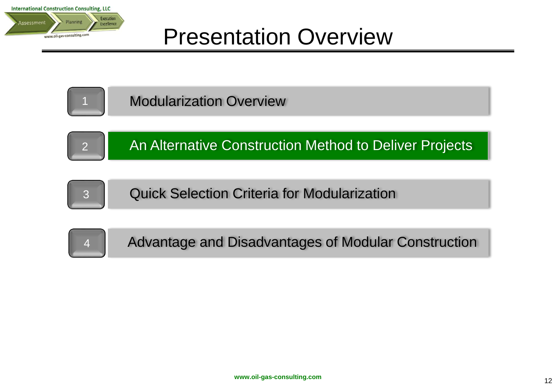



Modularization Overview



An Alternative Construction Method to Deliver Projects



Quick Selection Criteria for Modularization

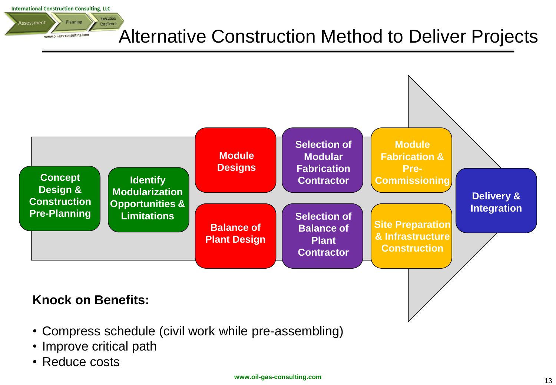**International Construction Consulting, LLC** 

#### Execution Planning Assessment Excellence www.oil-gas-consulting.com

#### Alternative Construction Method to Deliver Projects



- Compress schedule (civil work while pre-assembling)
- Improve critical path
- Reduce costs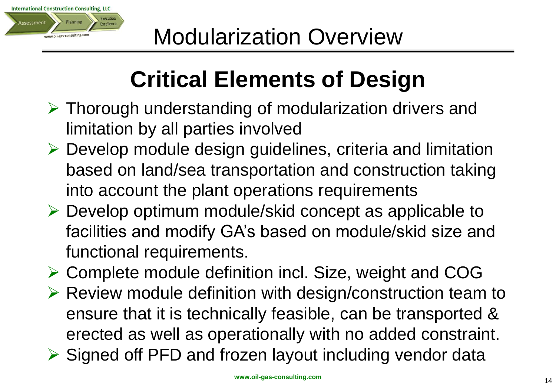

## **Critical Elements of Design**

- $\triangleright$  Thorough understanding of modularization drivers and limitation by all parties involved
- Develop module design guidelines, criteria and limitation based on land/sea transportation and construction taking into account the plant operations requirements
- $\triangleright$  Develop optimum module/skid concept as applicable to facilities and modify GA's based on module/skid size and functional requirements.
- Complete module definition incl. Size, weight and COG
- $\triangleright$  Review module definition with design/construction team to ensure that it is technically feasible, can be transported & erected as well as operationally with no added constraint.
- $\triangleright$  Signed off PFD and frozen layout including vendor data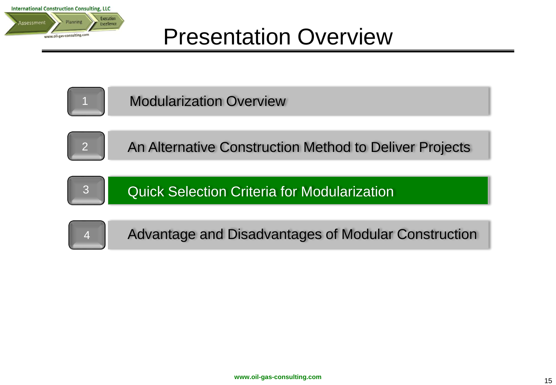



Modularization Overview



An Alternative Construction Method to Deliver Projects



Quick Selection Criteria for Modularization

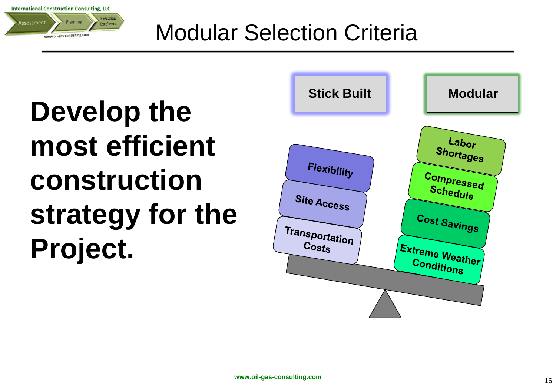**International Construction Consulting, LLC** Execution **Assessment** Planning Excellence www.oil-gas-consulting.com

#### Modular Selection Criteria

**Develop the most efficient construction strategy for the Project.**

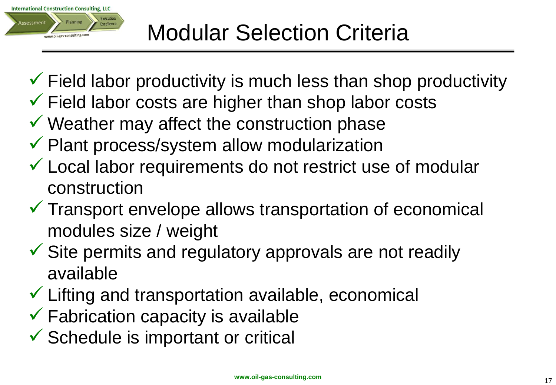

- $\checkmark$  Field labor productivity is much less than shop productivity
- $\checkmark$  Field labor costs are higher than shop labor costs
- $\checkmark$  Weather may affect the construction phase
- $\checkmark$  Plant process/system allow modularization
- Local labor requirements do not restrict use of modular construction
- $\checkmark$  Transport envelope allows transportation of economical modules size / weight
- $\checkmark$  Site permits and regulatory approvals are not readily available
- $\checkmark$  Lifting and transportation available, economical
- $\checkmark$  Fabrication capacity is available
- $\checkmark$  Schedule is important or critical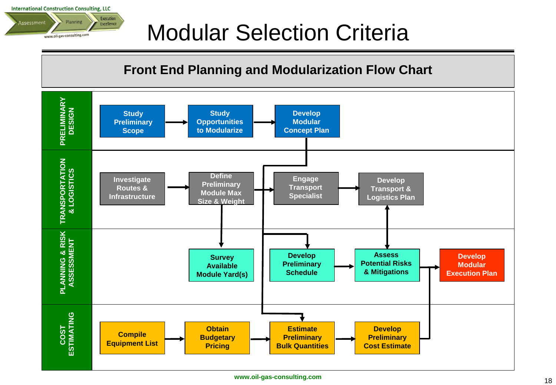**International Construction Consulting, LLC Execution** Planning Assessment Excellence www.oil-gas-consulting.com

#### Modular Selection Criteria

#### **Front End Planning and Modularization Flow Chart**

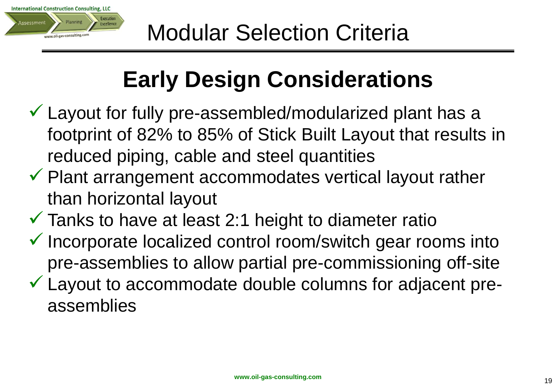

## **Early Design Considerations**

- $\checkmark$  Layout for fully pre-assembled/modularized plant has a footprint of 82% to 85% of Stick Built Layout that results in reduced piping, cable and steel quantities
- $\checkmark$  Plant arrangement accommodates vertical layout rather than horizontal layout
- $\checkmark$  Tanks to have at least 2:1 height to diameter ratio
- $\checkmark$  Incorporate localized control room/switch gear rooms into pre-assemblies to allow partial pre-commissioning off-site
- $\checkmark$  Layout to accommodate double columns for adjacent preassemblies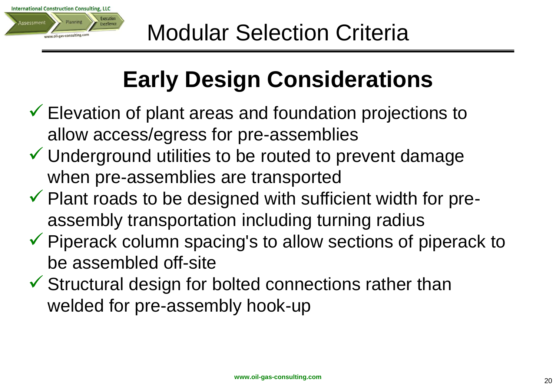

## **Early Design Considerations**

- $\checkmark$  Elevation of plant areas and foundation projections to allow access/egress for pre-assemblies
- $\checkmark$  Underground utilities to be routed to prevent damage when pre-assemblies are transported
- $\checkmark$  Plant roads to be designed with sufficient width for preassembly transportation including turning radius
- $\checkmark$  Piperack column spacing's to allow sections of piperack to be assembled off-site
- $\checkmark$  Structural design for bolted connections rather than welded for pre-assembly hook-up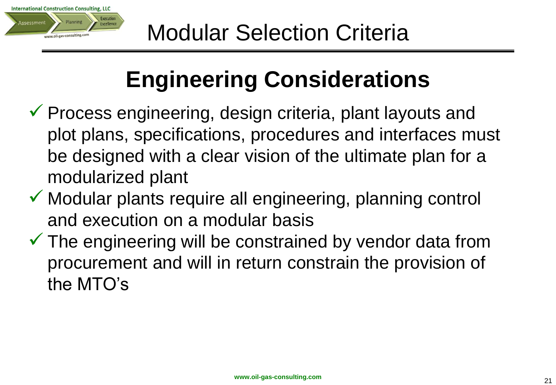

## **Engineering Considerations**

- $\checkmark$  Process engineering, design criteria, plant layouts and plot plans, specifications, procedures and interfaces must be designed with a clear vision of the ultimate plan for a modularized plant
- $\checkmark$  Modular plants require all engineering, planning control and execution on a modular basis
- $\checkmark$  The engineering will be constrained by vendor data from procurement and will in return constrain the provision of the MTO's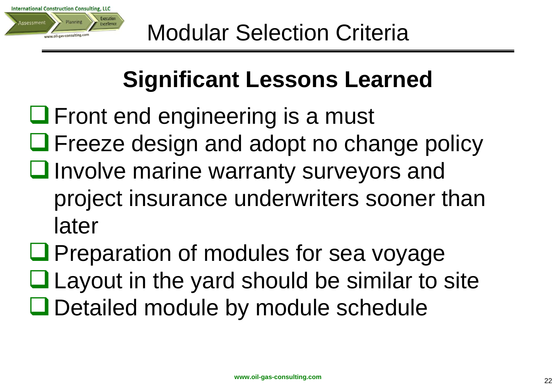

## **Significant Lessons Learned**

 $\Box$  Front end engineering is a must  $\Box$  Freeze design and adopt no change policy  $\Box$  Involve marine warranty surveyors and project insurance underwriters sooner than later

 $\Box$  Preparation of modules for sea voyage  $\Box$  Layout in the yard should be similar to site **□** Detailed module by module schedule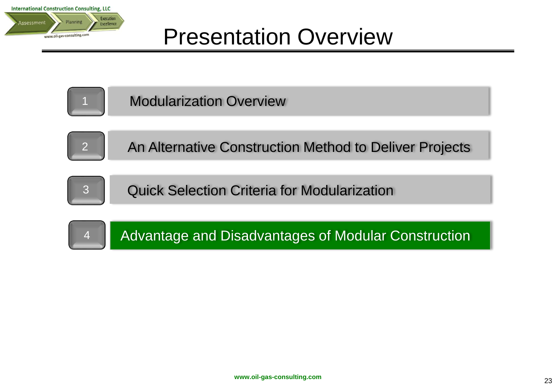



Modularization Overview



An Alternative Construction Method to Deliver Projects



Quick Selection Criteria for Modularization

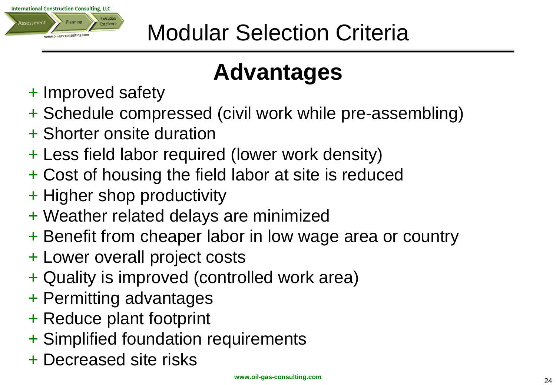

## **Advantages**

- + Improved safety
- + Schedule compressed (civil work while pre-assembling)
- + Shorter onsite duration
- + Less field labor required (lower work density)
- + Cost of housing the field labor at site is reduced
- + Higher shop productivity
- + Weather related delays are minimized
- + Benefit from cheaper labor in low wage area or country
- + Lower overall project costs
- + Quality is improved (controlled work area)
- + Permitting advantages
- + Reduce plant footprint
- + Simplified foundation requirements
- + Decreased site risks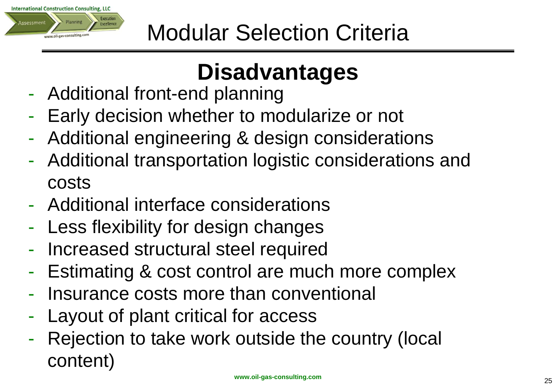

## **Disadvantages**

- Additional front-end planning
- Early decision whether to modularize or not
- Additional engineering & design considerations
- Additional transportation logistic considerations and costs
- Additional interface considerations
- Less flexibility for design changes
- Increased structural steel required
- Estimating & cost control are much more complex
- Insurance costs more than conventional
- Layout of plant critical for access
- Rejection to take work outside the country (local content)